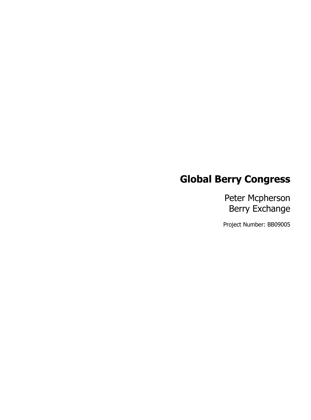# **Global Berry Congress**

Peter Mcpherson Berry Exchange

Project Number: BB09005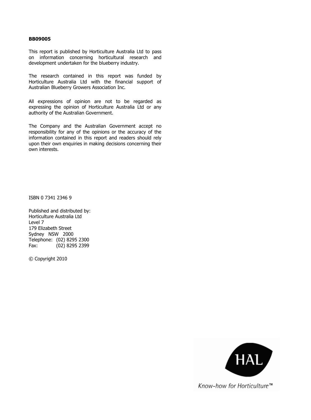#### **BB09005**

This report is published by Horticulture Australia Ltd to pass on information concerning horticultural research and development undertaken for the blueberry industry.

The research contained in this report was funded by Horticulture Australia Ltd with the financial support of Australian Blueberry Growers Association Inc.

All expressions of opinion are not to be regarded as expressing the opinion of Horticulture Australia Ltd or any authority of the Australian Government.

The Company and the Australian Government accept no responsibility for any of the opinions or the accuracy of the information contained in this report and readers should rely upon their own enquiries in making decisions concerning their own interests.

ISBN 0 7341 2346 9

Published and distributed by: Horticulture Australia Ltd Level 7 179 Elizabeth Street Sydney NSW 2000 Telephone: (02) 8295 2300 Fax: (02) 8295 2399

© Copyright 2010



Know-how for Horticulture™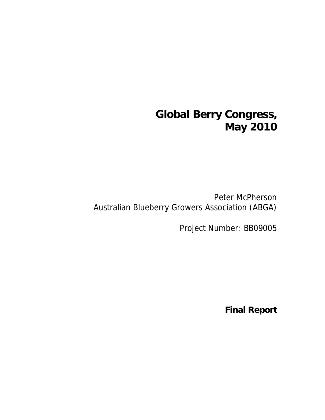# **Global Berry Congress, May 2010**

Peter McPherson Australian Blueberry Growers Association (ABGA)

Project Number: BB09005

**Final Report**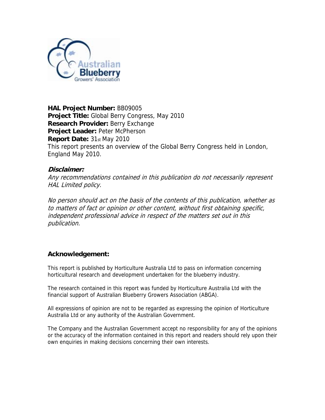

**HAL Project Number:** BB09005 **Project Title:** Global Berry Congress, May 2010 **Research Provider:** Berry Exchange **Project Leader:** Peter McPherson **Report Date:** 31st May 2010 This report presents an overview of the Global Berry Congress held in London, England May 2010.

## **Disclaimer:**

Any recommendations contained in this publication do not necessarily represent HAL Limited policy.

No person should act on the basis of the contents of this publication, whether as to matters of fact or opinion or other content, without first obtaining specific, independent professional advice in respect of the matters set out in this publication.

## **Acknowledgement:**

This report is published by Horticulture Australia Ltd to pass on information concerning horticultural research and development undertaken for the blueberry industry.

The research contained in this report was funded by Horticulture Australia Ltd with the financial support of Australian Blueberry Growers Association (ABGA).

All expressions of opinion are not to be regarded as expressing the opinion of Horticulture Australia Ltd or any authority of the Australian Government.

The Company and the Australian Government accept no responsibility for any of the opinions or the accuracy of the information contained in this report and readers should rely upon their own enquiries in making decisions concerning their own interests.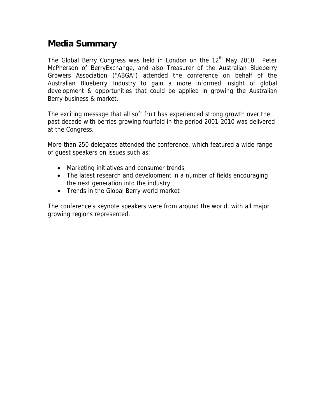# **Media Summary**

The Global Berry Congress was held in London on the  $12<sup>th</sup>$  May 2010. Peter McPherson of BerryExchange, and also Treasurer of the Australian Blueberry Growers Association ("ABGA") attended the conference on behalf of the Australian Blueberry Industry to gain a more informed insight of global development & opportunities that could be applied in growing the Australian Berry business & market.

The exciting message that all soft fruit has experienced strong growth over the past decade with berries growing fourfold in the period 2001-2010 was delivered at the Congress.

More than 250 delegates attended the conference, which featured a wide range of guest speakers on issues such as:

- Marketing initiatives and consumer trends
- The latest research and development in a number of fields encouraging the next generation into the industry
- Trends in the Global Berry world market

The conference's keynote speakers were from around the world, with all major growing regions represented.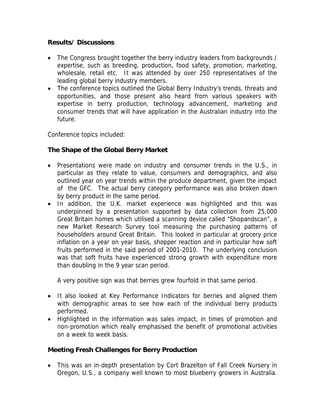# **Results/ Discussions**

- The Congress brought together the berry industry leaders from backgrounds / expertise, such as breeding, production, food safety, promotion, marketing, wholesale, retail etc. It was attended by over 250 representatives of the leading global berry industry members.
- The conference topics outlined the Global Berry Industry's trends, threats and opportunities, and those present also heard from various speakers with expertise in berry production, technology advancement, marketing and consumer trends that will have application in the Australian industry into the future.

Conference topics included:

# **The Shape of the Global Berry Market**

- Presentations were made on industry and consumer trends in the U.S., in particular as they relate to value, consumers and demographics, and also outlined year on year trends within the produce department, given the impact of the GFC. The actual berry category performance was also broken down by berry product in the same period.
- In addition, the U.K. market experience was highlighted and this was underpinned by a presentation supported by data collection from 25,000 Great Britain homes which utilised a scanning device called "Shopandscan", a new Market Research Survey tool measuring the purchasing patterns of householders around Great Britain. This looked in particular at grocery price inflation on a year on year basis, shopper reaction and in particular how soft fruits performed in the said period of 2001-2010. The underlying conclusion was that soft fruits have experienced strong growth with expenditure more than doubling in the 9 year scan period.

A very positive sign was that berries grew fourfold in that same period.

- It also looked at Key Performance Indicators for berries and aligned them with demographic areas to see how each of the individual berry products performed.
- Highlighted in the information was sales impact, in times of promotion and non-promotion which really emphasised the benefit of promotional activities on a week to week basis.

# **Meeting Fresh Challenges for Berry Production**

• This was an in-depth presentation by Cort Brazelton of Fall Creek Nursery in Oregon, U.S., a company well known to most blueberry growers in Australia.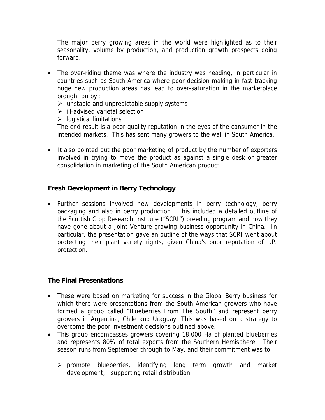The major berry growing areas in the world were highlighted as to their seasonality, volume by production, and production growth prospects going forward.

- The over-riding theme was where the industry was heading, in particular in countries such as South America where poor decision making in fast-tracking huge new production areas has lead to over-saturation in the marketplace brought on by :
	- $\triangleright$  unstable and unpredictable supply systems
	- $\triangleright$  ill-advised varietal selection
	- $\triangleright$  logistical limitations

The end result is a poor quality reputation in the eyes of the consumer in the intended markets. This has sent many growers to the wall in South America.

• It also pointed out the poor marketing of product by the number of exporters involved in trying to move the product as against a single desk or greater consolidation in marketing of the South American product.

## **Fresh Development in Berry Technology**

• Further sessions involved new developments in berry technology, berry packaging and also in berry production. This included a detailed outline of the Scottish Crop Research Institute ("SCRI") breeding program and how they have gone about a Joint Venture growing business opportunity in China. In particular, the presentation gave an outline of the ways that SCRI went about protecting their plant variety rights, given China's poor reputation of I.P. protection.

## **The Final Presentations**

- These were based on marketing for success in the Global Berry business for which there were presentations from the South American growers who have formed a group called "Blueberries From The South" and represent berry growers in Argentina, Chile and Uraguay. This was based on a strategy to overcome the poor investment decisions outlined above.
- This group encompasses growers covering 18,000 Ha of planted blueberries and represents 80% of total exports from the Southern Hemisphere. Their season runs from September through to May, and their commitment was to:
	- $\triangleright$  promote blueberries, identifying long term growth and market development, supporting retail distribution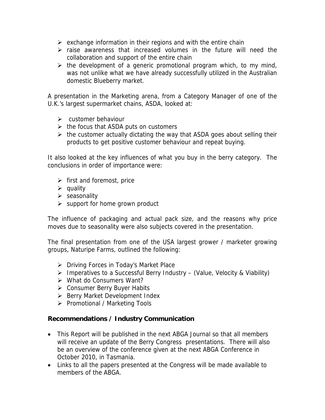- $\triangleright$  exchange information in their regions and with the entire chain
- $\triangleright$  raise awareness that increased volumes in the future will need the collaboration and support of the entire chain
- $\triangleright$  the development of a generic promotional program which, to my mind, was not unlike what we have already successfully utilized in the Australian domestic Blueberry market.

A presentation in the Marketing arena, from a Category Manager of one of the U.K.'s largest supermarket chains, ASDA, looked at:

- $\triangleright$  customer behaviour
- $\triangleright$  the focus that ASDA puts on customers
- $\triangleright$  the customer actually dictating the way that ASDA goes about selling their products to get positive customer behaviour and repeat buying.

It also looked at the key influences of what you buy in the berry category. The conclusions in order of importance were:

- $\triangleright$  first and foremost, price
- $\triangleright$  quality
- $\triangleright$  seasonality
- $\triangleright$  support for home grown product

The influence of packaging and actual pack size, and the reasons why price moves due to seasonality were also subjects covered in the presentation.

The final presentation from one of the USA largest grower / marketer growing groups, Naturipe Farms, outlined the following:

- ¾ Driving Forces in Today's Market Place
- $\triangleright$  Imperatives to a Successful Berry Industry (Value, Velocity & Viability)
- $\triangleright$  What do Consumers Want?
- ¾ Consumer Berry Buyer Habits
- ¾ Berry Market Development Index
- ¾ Promotional / Marketing Tools

## **Recommendations / Industry Communication**

- This Report will be published in the next ABGA Journal so that all members will receive an update of the Berry Congress presentations. There will also be an overview of the conference given at the next ABGA Conference in October 2010, in Tasmania.
- Links to all the papers presented at the Congress will be made available to members of the ABGA.